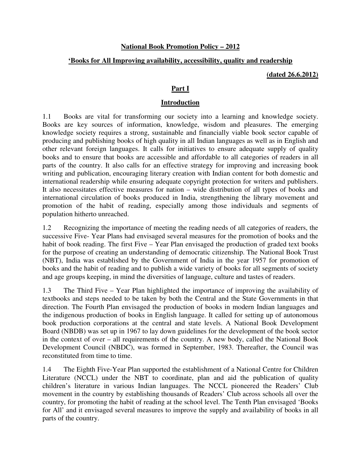### **National Book Promotion Policy – 2012**

### **'Books for All Improving availability, accessibility, quality and readership**

**(dated 26.6.2012)**

### **Part I**

#### **Introduction**

1.1 Books are vital for transforming our society into a learning and knowledge society. Books are key sources of information, knowledge, wisdom and pleasures. The emerging knowledge society requires a strong, sustainable and financially viable book sector capable of producing and publishing books of high quality in all Indian languages as well as in English and other relevant foreign languages. It calls for initiatives to ensure adequate supply of quality books and to ensure that books are accessible and affordable to all categories of readers in all parts of the country. It also calls for an effective strategy for improving and increasing book writing and publication, encouraging literary creation with Indian content for both domestic and international readership while ensuring adequate copyright protection for writers and publishers. It also necessitates effective measures for nation – wide distribution of all types of books and international circulation of books produced in India, strengthening the library movement and promotion of the habit of reading, especially among those individuals and segments of population hitherto unreached.

1.2 Recognizing the importance of meeting the reading needs of all categories of readers, the successive Five- Year Plans had envisaged several measures for the promotion of books and the habit of book reading. The first Five – Year Plan envisaged the production of graded text books for the purpose of creating an understanding of democratic citizenship. The National Book Trust (NBT), India was established by the Government of India in the year 1957 for promotion of books and the habit of reading and to publish a wide variety of books for all segments of society and age groups keeping, in mind the diversities of language, culture and tastes of readers.

1.3 The Third Five – Year Plan highlighted the importance of improving the availability of textbooks and steps needed to be taken by both the Central and the State Governments in that direction. The Fourth Plan envisaged the production of books in modern Indian languages and the indigenous production of books in English language. It called for setting up of autonomous book production corporations at the central and state levels. A National Book Development Board (NBDB) was set up in 1967 to lay down guidelines for the development of the book sector in the context of over – all requirements of the country. A new body, called the National Book Development Council (NBDC), was formed in September, 1983. Thereafter, the Council was reconstituted from time to time.

1.4 The Eighth Five-Year Plan supported the establishment of a National Centre for Children Literature (NCCL) under the NBT to coordinate, plan and aid the publication of quality children's literature in various Indian languages. The NCCL pioneered the Readers' Club movement in the country by establishing thousands of Readers' Club across schools all over the country, for promoting the habit of reading at the school level. The Tenth Plan envisaged 'Books for All' and it envisaged several measures to improve the supply and availability of books in all parts of the country.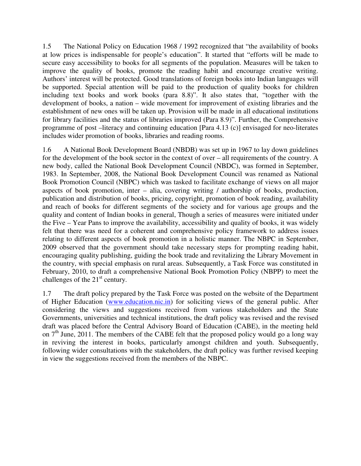1.5 The National Policy on Education 1968 / 1992 recognized that "the availability of books at low prices is indispensable for people's education". It started that "efforts will be made to secure easy accessibility to books for all segments of the population. Measures will be taken to improve the quality of books, promote the reading habit and encourage creative writing. Authors' interest will be protected. Good translations of foreign books into Indian languages will be supported. Special attention will be paid to the production of quality books for children including text books and work books (para 8.8)". It also states that, "together with the development of books, a nation – wide movement for improvement of existing libraries and the establishment of new ones will be taken up. Provision will be made in all educational institutions for library facilities and the status of libraries improved (Para 8.9)". Further, the Comprehensive programme of post –literacy and continuing education [Para 4.13 (c)] envisaged for neo-literates includes wider promotion of books, libraries and reading rooms.

1.6 A National Book Development Board (NBDB) was set up in 1967 to lay down guidelines for the development of the book sector in the context of over – all requirements of the country. A new body, called the National Book Development Council (NBDC), was formed in September, 1983. In September, 2008, the National Book Development Council was renamed as National Book Promotion Council (NBPC) which was tasked to facilitate exchange of views on all major aspects of book promotion, inter – alia, covering writing / authorship of books, production, publication and distribution of books, pricing, copyright, promotion of book reading, availability and reach of books for different segments of the society and for various age groups and the quality and content of Indian books in general, Though a series of measures were initiated under the Five – Year Pans to improve the availability, accessibility and quality of books, it was widely felt that there was need for a coherent and comprehensive policy framework to address issues relating to different aspects of book promotion in a holistic manner. The NBPC in September, 2009 observed that the government should take necessary steps for prompting reading habit, encouraging quality publishing, guiding the book trade and revitalizing the Library Movement in the country, with special emphasis on rural areas. Subsequently, a Task Force was constituted in February, 2010, to draft a comprehensive National Book Promotion Policy (NBPP) to meet the challenges of the  $21<sup>st</sup>$  century.

1.7 The draft policy prepared by the Task Force was posted on the website of the Department of Higher Education (www.education.nic.in) for soliciting views of the general public. After considering the views and suggestions received from various stakeholders and the State Governments, universities and technical institutions, the draft policy was revised and the revised draft was placed before the Central Advisory Board of Education (CABE), in the meeting held on  $7<sup>th</sup>$  June, 2011. The members of the CABE felt that the proposed policy would go a long way in reviving the interest in books, particularly amongst children and youth. Subsequently, following wider consultations with the stakeholders, the draft policy was further revised keeping in view the suggestions received from the members of the NBPC.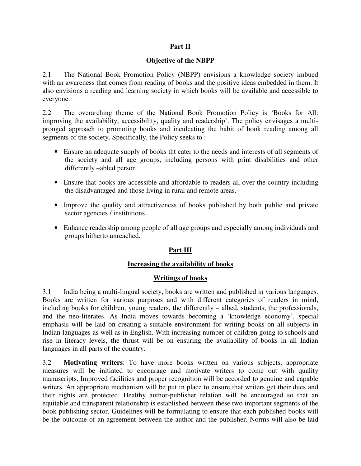# **Part II**

# **Objective of the NBPP**

2.1 The National Book Promotion Policy (NBPP) envisions a knowledge society imbued with an awareness that comes from reading of books and the positive ideas embedded in them. It also envisions a reading and learning society in which books will be available and accessible to everyone.

2.2 The overarching theme of the National Book Promotion Policy is 'Books for All: improving the availability, accessibility, quality and readership'. The policy envisages a multipronged approach to promoting books and inculcating the habit of book reading among all segments of the society. Specifically, the Policy seeks to :

- Ensure an adequate supply of books tht cater to the needs and interests of all segments of the society and all age groups, including persons with print disabilities and other differently –abled person.
- Ensure that books are accessible and affordable to readers all over the country including the disadvantaged and those living in rural and remote areas.
- Improve the quality and attractiveness of books published by both public and private sector agencies / institutions.
- Enhance readership among people of all age groups and especially among individuals and groups hitherto unreached.

# **Part III**

# **Increasing the availability of books**

# **Writings of books**

3.1 India being a multi-lingual society, books are written and published in various languages. Books are written for various purposes and with different categories of readers in mind, including books for children, young readers, the differently – albed, students, the professionals, and the neo-literates. As India moves towards becoming a 'knowledge economy', special emphasis will be laid on creating a suitable environment for writing books on all subjects in Indian languages as well as in English. With increasing number of children going to schools and rise in literacy levels, the thrust will be on ensuring the availability of books in all Indian languages in all parts of the country.

3.2 **Motivating writers**: To have more books written on various subjects, appropriate measures will be initiated to encourage and motivate writers to come out with quality manuscripts. Improved facilities and proper recognition will be accorded to genuine and capable writers. An appropriate mechanism will be put in place to ensure that writers get their dues and their rights are protected. Healthy author-publisher relation will be encouraged so that an equitable and transparent relationship is established between these two important segments of the book publishing sector. Guidelines will be formulating to ensure that each published books will be the outcome of an agreement between the author and the publisher. Norms will also be laid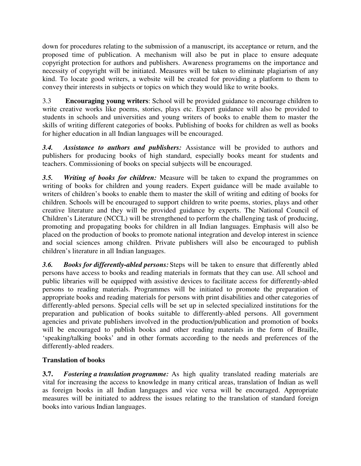down for procedures relating to the submission of a manuscript, its acceptance or return, and the proposed time of publication. A mechanism will also be put in place to ensure adequate copyright protection for authors and publishers. Awareness programems on the importance and necessity of copyright will be initiated. Measures will be taken to eliminate plagiarism of any kind. To locate good writers, a website will be created for providing a platform to them to convey their interests in subjects or topics on which they would like to write books.

3.3 **Encouraging young writers**: School will be provided guidance to encourage children to write creative works like poems, stories, plays etc. Expert guidance will also be provided to students in schools and universities and young writers of books to enable them to master the skills of writing different categories of books. Publishing of books for children as well as books for higher education in all Indian languages will be encouraged.

*3.4. Assistance to authors and publishers:* Assistance will be provided to authors and publishers for producing books of high standard, especially books meant for students and teachers. Commissioning of books on special subjects will be encouraged.

*3.5. Writing of books for children:* Measure will be taken to expand the programmes on writing of books for children and young readers. Expert guidance will be made available to writers of children's books to enable them to master the skill of writing and editing of books for children. Schools will be encouraged to support children to write poems, stories, plays and other creative literature and they will be provided guidance by experts. The National Council of Children's Literature (NCCL) will be strengthened to perform the challenging task of producing, promoting and propagating books for children in all Indian languages. Emphasis will also be placed on the production of books to promote national integration and develop interest in science and social sciences among children. Private publishers will also be encouraged to publish children's literature in all Indian languages.

*3.6. Books for differently-abled persons:* Steps will be taken to ensure that differently abled persons have access to books and reading materials in formats that they can use. All school and public libraries will be equipped with assistive devices to facilitate access for differently-abled persons to reading materials. Programmes will be initiated to promote the preparation of appropriate books and reading materials for persons with print disabilities and other categories of differently-abled persons. Special cells will be set up in selected specialized institutions for the preparation and publication of books suitable to differently-abled persons. All government agencies and private publishers involved in the production/publication and promotion of books will be encouraged to publish books and other reading materials in the form of Braille, 'speaking/talking books' and in other formats according to the needs and preferences of the differently-abled readers.

# **Translation of books**

**3.7.** *Fostering a translation programme:* As high quality translated reading materials are vital for increasing the access to knowledge in many critical areas, translation of Indian as well as foreign books in all Indian languages and vice versa will be encouraged. Appropriate measures will be initiated to address the issues relating to the translation of standard foreign books into various Indian languages.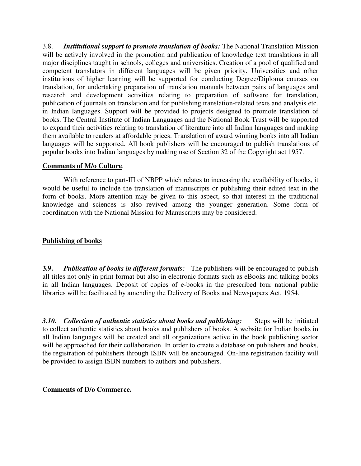3.8. *Institutional support to promote translation of books:* The National Translation Mission will be actively involved in the promotion and publication of knowledge text translations in all major disciplines taught in schools, colleges and universities. Creation of a pool of qualified and competent translators in different languages will be given priority. Universities and other institutions of higher learning will be supported for conducting Degree/Diploma courses on translation, for undertaking preparation of translation manuals between pairs of languages and research and development activities relating to preparation of software for translation, publication of journals on translation and for publishing translation-related texts and analysis etc. in Indian languages. Support will be provided to projects designed to promote translation of books. The Central Institute of Indian Languages and the National Book Trust will be supported to expand their activities relating to translation of literature into all Indian languages and making them available to readers at affordable prices. Translation of award winning books into all Indian languages will be supported. All book publishers will be encouraged to publish translations of popular books into Indian languages by making use of Section 32 of the Copyright act 1957.

### **Comments of M/o Culture**.

With reference to part-III of NBPP which relates to increasing the availability of books, it would be useful to include the translation of manuscripts or publishing their edited text in the form of books. More attention may be given to this aspect, so that interest in the traditional knowledge and sciences is also revived among the younger generation. Some form of coordination with the National Mission for Manuscripts may be considered.

# **Publishing of books**

**3.9.** *Publication of books in different formats:* The publishers will be encouraged to publish all titles not only in print format but also in electronic formats such as eBooks and talking books in all Indian languages. Deposit of copies of e-books in the prescribed four national public libraries will be facilitated by amending the Delivery of Books and Newspapers Act, 1954.

*3.10. Collection of authentic statistics about books and publishing:* Steps will be initiated to collect authentic statistics about books and publishers of books. A website for Indian books in all Indian languages will be created and all organizations active in the book publishing sector will be approached for their collaboration. In order to create a database on publishers and books, the registration of publishers through ISBN will be encouraged. On-line registration facility will be provided to assign ISBN numbers to authors and publishers.

# **Comments of D/o Commerce.**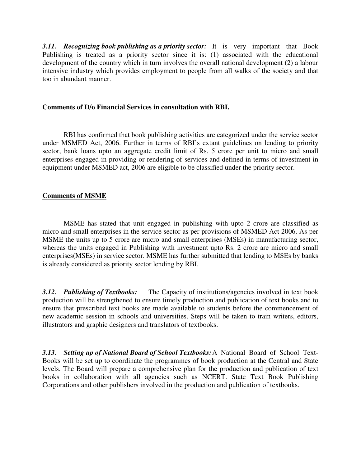**3.11.** Recognizing book publishing as a priority sector: It is very important that Book Publishing is treated as a priority sector since it is: (1) associated with the educational development of the country which in turn involves the overall national development (2) a labour intensive industry which provides employment to people from all walks of the society and that too in abundant manner.

#### **Comments of D/o Financial Services in consultation with RBI.**

RBI has confirmed that book publishing activities are categorized under the service sector under MSMED Act, 2006. Further in terms of RBI's extant guidelines on lending to priority sector, bank loans upto an aggregate credit limit of Rs. 5 crore per unit to micro and small enterprises engaged in providing or rendering of services and defined in terms of investment in equipment under MSMED act, 2006 are eligible to be classified under the priority sector.

### **Comments of MSME**

MSME has stated that unit engaged in publishing with upto 2 crore are classified as micro and small enterprises in the service sector as per provisions of MSMED Act 2006. As per MSME the units up to 5 crore are micro and small enterprises (MSEs) in manufacturing sector, whereas the units engaged in Publishing with investment upto Rs. 2 crore are micro and small enterprises(MSEs) in service sector. MSME has further submitted that lending to MSEs by banks is already considered as priority sector lending by RBI.

**3.12.** Publishing of Textbooks: The Capacity of institutions/agencies involved in text book production will be strengthened to ensure timely production and publication of text books and to ensure that prescribed text books are made available to students before the commencement of new academic session in schools and universities. Steps will be taken to train writers, editors, illustrators and graphic designers and translators of textbooks.

*3.13. Setting up of National Board of School Textbooks:* A National Board of School Text-Books will be set up to coordinate the programmes of book production at the Central and State levels. The Board will prepare a comprehensive plan for the production and publication of text books in collaboration with all agencies such as NCERT. State Text Book Publishing Corporations and other publishers involved in the production and publication of textbooks.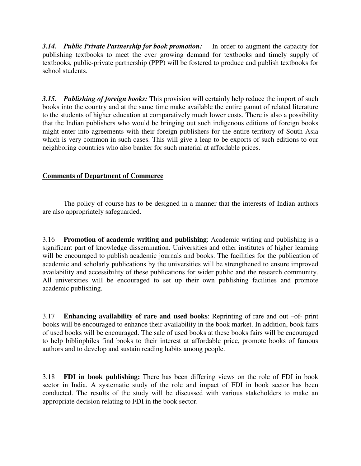*3.14. Public Private Partnership for book promotion:* In order to augment the capacity for publishing textbooks to meet the ever growing demand for textbooks and timely supply of textbooks, public-private partnership (PPP) will be fostered to produce and publish textbooks for school students.

*3.15. Publishing of foreign books:* This provision will certainly help reduce the import of such books into the country and at the same time make available the entire gamut of related literature to the students of higher education at comparatively much lower costs. There is also a possibility that the Indian publishers who would be bringing out such indigenous editions of foreign books might enter into agreements with their foreign publishers for the entire territory of South Asia which is very common in such cases. This will give a leap to be exports of such editions to our neighboring countries who also banker for such material at affordable prices.

### **Comments of Department of Commerce**

 The policy of course has to be designed in a manner that the interests of Indian authors are also appropriately safeguarded.

3.16 **Promotion of academic writing and publishing**: Academic writing and publishing is a significant part of knowledge dissemination. Universities and other institutes of higher learning will be encouraged to publish academic journals and books. The facilities for the publication of academic and scholarly publications by the universities will be strengthened to ensure improved availability and accessibility of these publications for wider public and the research community. All universities will be encouraged to set up their own publishing facilities and promote academic publishing.

3.17 **Enhancing availability of rare and used books**: Reprinting of rare and out –of- print books will be encouraged to enhance their availability in the book market. In addition, book fairs of used books will be encouraged. The sale of used books at these books fairs will be encouraged to help bibliophiles find books to their interest at affordable price, promote books of famous authors and to develop and sustain reading habits among people.

3.18 **FDI in book publishing:** There has been differing views on the role of FDI in book sector in India. A systematic study of the role and impact of FDI in book sector has been conducted. The results of the study will be discussed with various stakeholders to make an appropriate decision relating to FDI in the book sector.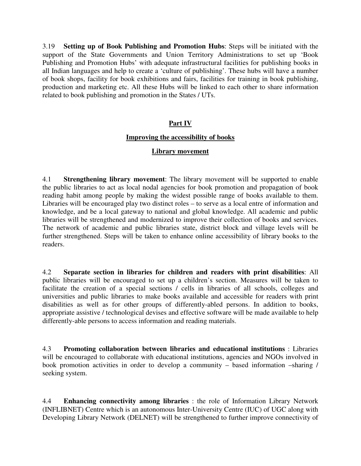3.19 **Setting up of Book Publishing and Promotion Hubs**: Steps will be initiated with the support of the State Governments and Union Territory Administrations to set up 'Book Publishing and Promotion Hubs' with adequate infrastructural facilities for publishing books in all Indian languages and help to create a 'culture of publishing'. These hubs will have a number of book shops, facility for book exhibitions and fairs, facilities for training in book publishing, production and marketing etc. All these Hubs will be linked to each other to share information related to book publishing and promotion in the States / UTs.

### **Part IV**

### **Improving the accessibility of books**

#### **Library movement**

4.1 **Strengthening library movement**: The library movement will be supported to enable the public libraries to act as local nodal agencies for book promotion and propagation of book reading habit among people by making the widest possible range of books available to them. Libraries will be encouraged play two distinct roles – to serve as a local entre of information and knowledge, and be a local gateway to national and global knowledge. All academic and public libraries will be strengthened and modernized to improve their collection of books and services. The network of academic and public libraries state, district block and village levels will be further strengthened. Steps will be taken to enhance online accessibility of library books to the readers.

4.2 **Separate section in libraries for children and readers with print disabilities**: All public libraries will be encouraged to set up a children's section. Measures will be taken to facilitate the creation of a special sections / cells in libraries of all schools, colleges and universities and public libraries to make books available and accessible for readers with print disabilities as well as for other groups of differently-abled persons. In addition to books, appropriate assistive / technological devises and effective software will be made available to help differently-able persons to access information and reading materials.

4.3 **Promoting collaboration between libraries and educational institutions** : Libraries will be encouraged to collaborate with educational institutions, agencies and NGOs involved in book promotion activities in order to develop a community – based information –sharing / seeking system.

4.4 **Enhancing connectivity among libraries** : the role of Information Library Network (INFLIBNET) Centre which is an autonomous Inter-University Centre (IUC) of UGC along with Developing Library Network (DELNET) will be strengthened to further improve connectivity of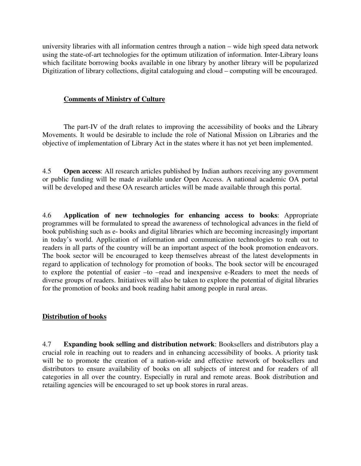university libraries with all information centres through a nation – wide high speed data network using the state-of-art technologies for the optimum utilization of information. Inter-Library loans which facilitate borrowing books available in one library by another library will be popularized Digitization of library collections, digital cataloguing and cloud – computing will be encouraged.

#### **Comments of Ministry of Culture**

 The part-IV of the draft relates to improving the accessibility of books and the Library Movements. It would be desirable to include the role of National Mission on Libraries and the objective of implementation of Library Act in the states where it has not yet been implemented.

4.5 **Open access**: All research articles published by Indian authors receiving any government or public funding will be made available under Open Access. A national academic OA portal will be developed and these OA research articles will be made available through this portal.

4.6 **Application of new technologies for enhancing access to books**: Appropriate programmes will be formulated to spread the awareness of technological advances in the field of book publishing such as e- books and digital libraries which are becoming increasingly important in today's world. Application of information and communication technologies to reah out to readers in all parts of the country will be an important aspect of the book promotion endeavors. The book sector will be encouraged to keep themselves abreast of the latest developments in regard to application of technology for promotion of books. The book sector will be encouraged to explore the potential of easier –to –read and inexpensive e-Readers to meet the needs of diverse groups of readers. Initiatives will also be taken to explore the potential of digital libraries for the promotion of books and book reading habit among people in rural areas.

### **Distribution of books**

4.7 **Expanding book selling and distribution network**: Booksellers and distributors play a crucial role in reaching out to readers and in enhancing accessibility of books. A priority task will be to promote the creation of a nation-wide and effective network of booksellers and distributors to ensure availability of books on all subjects of interest and for readers of all categories in all over the country. Especially in rural and remote areas. Book distribution and retailing agencies will be encouraged to set up book stores in rural areas.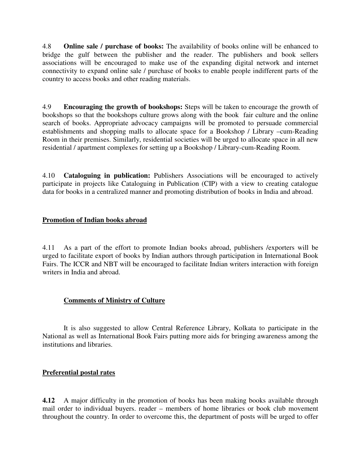4.8 **Online sale / purchase of books:** The availability of books online will be enhanced to bridge the gulf between the publisher and the reader. The publishers and book sellers associations will be encouraged to make use of the expanding digital network and internet connectivity to expand online sale / purchase of books to enable people indifferent parts of the country to access books and other reading materials.

4.9 **Encouraging the growth of bookshops:** Steps will be taken to encourage the growth of bookshops so that the bookshops culture grows along with the book fair culture and the online search of books. Appropriate advocacy campaigns will be promoted to persuade commercial establishments and shopping malls to allocate space for a Bookshop / Library –cum-Reading Room in their premises. Similarly, residential societies will be urged to allocate space in all new residential / apartment complexes for setting up a Bookshop / Library-cum-Reading Room.

4.10 **Cataloguing in publication:** Publishers Associations will be encouraged to actively participate in projects like Cataloguing in Publication (CIP) with a view to creating catalogue data for books in a centralized manner and promoting distribution of books in India and abroad.

# **Promotion of Indian books abroad**

4.11 As a part of the effort to promote Indian books abroad, publishers /exporters will be urged to facilitate export of books by Indian authors through participation in International Book Fairs. The ICCR and NBT will be encouraged to facilitate Indian writers interaction with foreign writers in India and abroad.

# **Comments of Ministry of Culture**

 It is also suggested to allow Central Reference Library, Kolkata to participate in the National as well as International Book Fairs putting more aids for bringing awareness among the institutions and libraries.

# **Preferential postal rates**

**4.12** A major difficulty in the promotion of books has been making books available through mail order to individual buyers. reader – members of home libraries or book club movement throughout the country. In order to overcome this, the department of posts will be urged to offer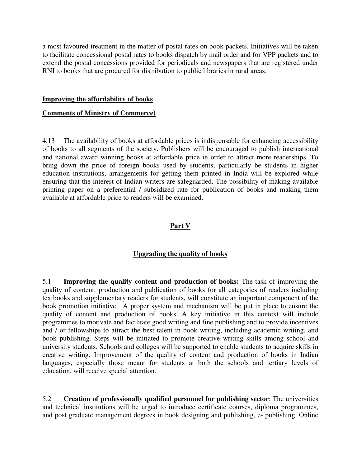a most favoured treatment in the matter of postal rates on book packets. Initiatives will be taken to facilitate concessional postal rates to books dispatch by mail order and for VPP packets and to extend the postal concessions provided for periodicals and newspapers that are registered under RNI to books that are procured for distribution to public libraries in rural areas.

#### **Improving the affordability of books**

### **Comments of Ministry of Commerce)**

4.13 The availability of books at affordable prices is indispensable for enhancing accessibility of books to all segments of the society. Publishers will be encouraged to publish international and national award winning books at affordable price in order to attract more readerships. To bring down the price of foreign books used by students, particularly be students in higher education institutions, arrangements for getting them printed in India will be explored while ensuring that the interest of Indian writers are safeguarded. The possibility of making available printing paper on a preferential / subsidized rate for publication of books and making them available at affordable price to readers will be examined.

# **Part V**

# **Upgrading the quality of books**

5.1 **Improving the quality content and production of books:** The task of improving the quality of content, production and publication of books for all categories of readers including textbooks and supplementary readers for students, will constitute an important component of the book promotion initiative. A proper system and mechanism will be put in place to ensure the quality of content and production of books. A key initiative in this context will include programmes to motivate and facilitate good writing and fine publishing and to provide incentives and / or fellowships to attract the best talent in book writing, including academic writing, and book publishing. Steps will be initiated to promote creative writing skills among school and university students. Schools and colleges will be supported to enable students to acquire skills in creative writing. Improvement of the quality of content and production of books in Indian languages, especially those meant for students at both the schools and tertiary levels of education, will receive special attention.

5.2 **Creation of professionally qualified personnel for publishing sector**: The universities and technical institutions will be urged to introduce certificate courses, diploma programmes, and post graduate management degrees in book designing and publishing, e- publishing. Online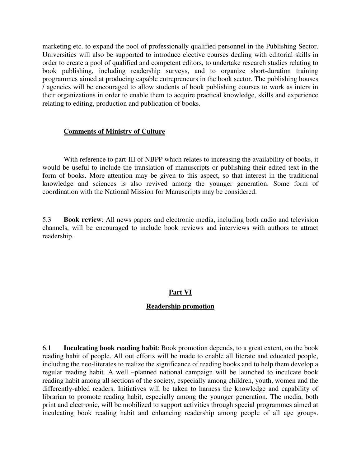marketing etc. to expand the pool of professionally qualified personnel in the Publishing Sector. Universities will also be supported to introduce elective courses dealing with editorial skills in order to create a pool of qualified and competent editors, to undertake research studies relating to book publishing, including readership surveys, and to organize short-duration training programmes aimed at producing capable entrepreneurs in the book sector. The publishing houses / agencies will be encouraged to allow students of book publishing courses to work as inters in their organizations in order to enable them to acquire practical knowledge, skills and experience relating to editing, production and publication of books.

### **Comments of Ministry of Culture**

 With reference to part-III of NBPP which relates to increasing the availability of books, it would be useful to include the translation of manuscripts or publishing their edited text in the form of books. More attention may be given to this aspect, so that interest in the traditional knowledge and sciences is also revived among the younger generation. Some form of coordination with the National Mission for Manuscripts may be considered.

5.3 **Book review**: All news papers and electronic media, including both audio and television channels, will be encouraged to include book reviews and interviews with authors to attract readership.

# **Part VI**

# **Readership promotion**

6.1 **Inculcating book reading habit**: Book promotion depends, to a great extent, on the book reading habit of people. All out efforts will be made to enable all literate and educated people, including the neo-literates to realize the significance of reading books and to help them develop a regular reading habit. A well –planned national campaign will be launched to inculcate book reading habit among all sections of the society, especially among children, youth, women and the differently-abled readers. Initiatives will be taken to harness the knowledge and capability of librarian to promote reading habit, especially among the younger generation. The media, both print and electronic, will be mobilized to support activities through special programmes aimed at inculcating book reading habit and enhancing readership among people of all age groups.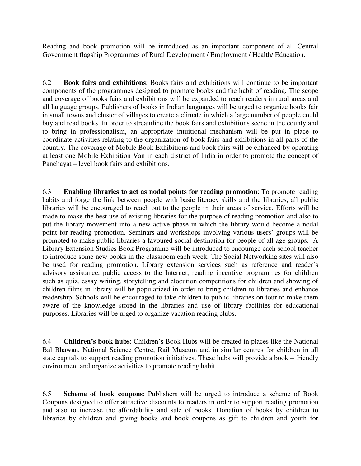Reading and book promotion will be introduced as an important component of all Central Government flagship Programmes of Rural Development / Employment / Health/ Education.

6.2 **Book fairs and exhibitions**: Books fairs and exhibitions will continue to be important components of the programmes designed to promote books and the habit of reading. The scope and coverage of books fairs and exhibitions will be expanded to reach readers in rural areas and all language groups. Publishers of books in Indian languages will be urged to organize books fair in small towns and cluster of villages to create a climate in which a large number of people could buy and read books. In order to streamline the book fairs and exhibitions scene in the county and to bring in professionalism, an appropriate intuitional mechanism will be put in place to coordinate activities relating to the organization of book fairs and exhibitions in all parts of the country. The coverage of Mobile Book Exhibitions and book fairs will be enhanced by operating at least one Mobile Exhibition Van in each district of India in order to promote the concept of Panchayat – level book fairs and exhibitions.

6.3 **Enabling libraries to act as nodal points for reading promotion**: To promote reading habits and forge the link between people with basic literacy skills and the libraries, all public libraries will be encouraged to reach out to the people in their areas of service. Efforts will be made to make the best use of existing libraries for the purpose of reading promotion and also to put the library movement into a new active phase in which the library would become a nodal point for reading promotion. Seminars and workshops involving various users' groups will be promoted to make public libraries a favoured social destination for people of all age groups. A Library Extension Studies Book Programme will be introduced to encourage each school teacher to introduce some new books in the classroom each week. The Social Networking sites will also be used for reading promotion. Library extension services such as reference and reader's advisory assistance, public access to the Internet, reading incentive programmes for children such as quiz, essay writing, storytelling and elocution competitions for children and showing of children films in library will be popularized in order to bring children to libraries and enhance readership. Schools will be encouraged to take children to public libraries on tour to make them aware of the knowledge stored in the libraries and use of library facilities for educational purposes. Libraries will be urged to organize vacation reading clubs.

6.4 **Children's book hubs**: Children's Book Hubs will be created in places like the National Bal Bhawan, National Science Centre, Rail Museum and in similar centres for children in all state capitals to support reading promotion initiatives. These hubs will provide a book – friendly environment and organize activities to promote reading habit.

6.5 **Scheme of book coupons**: Publishers will be urged to introduce a scheme of Book Coupons designed to offer attractive discounts to readers in order to support reading promotion and also to increase the affordability and sale of books. Donation of books by children to libraries by children and giving books and book coupons as gift to children and youth for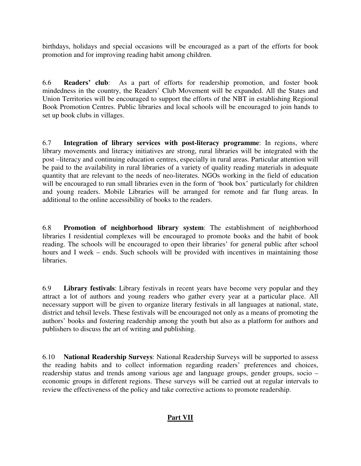birthdays, holidays and special occasions will be encouraged as a part of the efforts for book promotion and for improving reading habit among children.

6.6 **Readers' club**: As a part of efforts for readership promotion, and foster book mindedness in the country, the Readers' Club Movement will be expanded. All the States and Union Territories will be encouraged to support the efforts of the NBT in establishing Regional Book Promotion Centres. Public libraries and local schools will be encouraged to join hands to set up book clubs in villages.

6.7 **Integration of library services with post-literacy programme**: In regions, where library movements and literacy initiatives are strong, rural libraries will be integrated with the post –literacy and continuing education centres, especially in rural areas. Particular attention will be paid to the availability in rural libraries of a variety of quality reading materials in adequate quantity that are relevant to the needs of neo-literates. NGOs working in the field of education will be encouraged to run small libraries even in the form of 'book box' particularly for children and young readers. Mobile Libraries will be arranged for remote and far flung areas. In additional to the online accessibility of books to the readers.

6.8 **Promotion of neighborhood library system**: The establishment of neighborhood libraries I residential complexes will be encouraged to promote books and the habit of book reading. The schools will be encouraged to open their libraries' for general public after school hours and I week – ends. Such schools will be provided with incentives in maintaining those **libraries** 

6.9 **Library festivals**: Library festivals in recent years have become very popular and they attract a lot of authors and young readers who gather every year at a particular place. All necessary support will be given to organize literary festivals in all languages at national, state, district and tehsil levels. These festivals will be encouraged not only as a means of promoting the authors' books and fostering readership among the youth but also as a platform for authors and publishers to discuss the art of writing and publishing.

6.10 **National Readership Surveys**: National Readership Surveys will be supported to assess the reading habits and to collect information regarding readers' preferences and choices, readership status and trends among various age and language groups, gender groups, socio – economic groups in different regions. These surveys will be carried out at regular intervals to review the effectiveness of the policy and take corrective actions to promote readership.

# **Part VII**